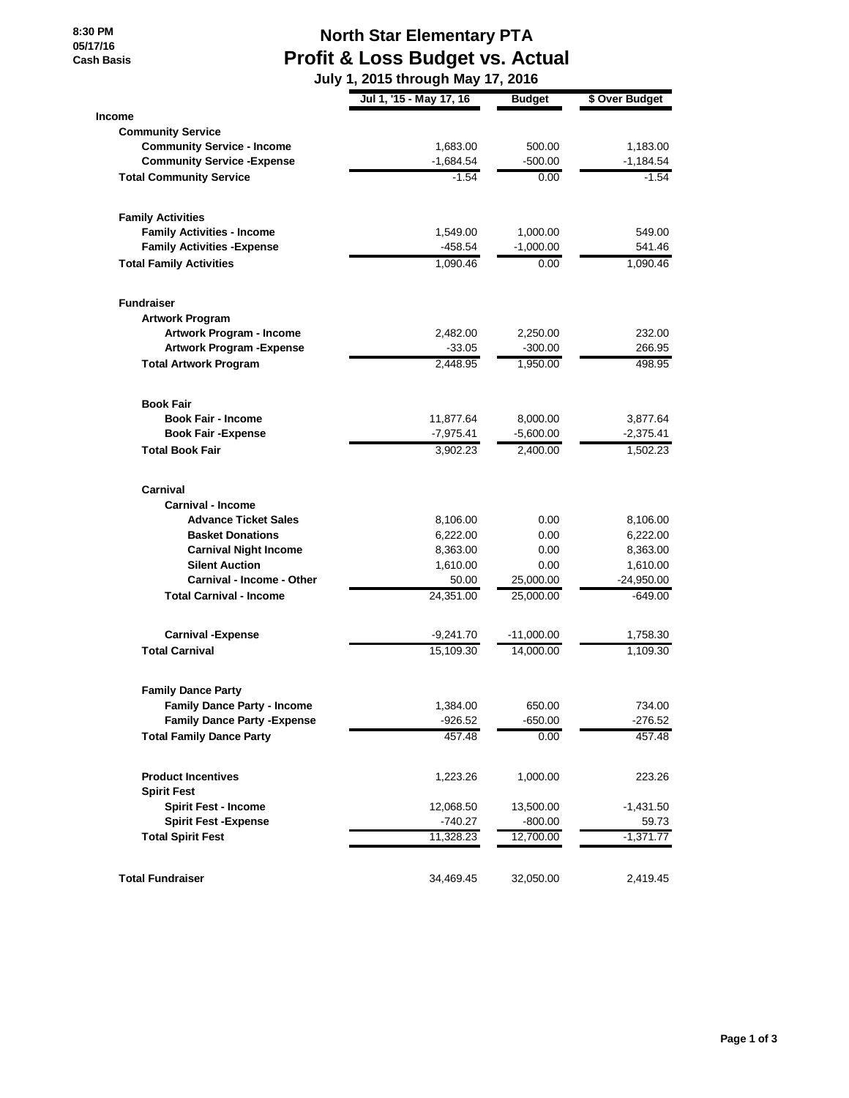**8:30 PM 05/17/16 Cash Basis**

## **North Star Elementary PTA Profit & Loss Budget vs. Actual**

|                                     | July 1, 2015 through May 17, 2016 |               |                |
|-------------------------------------|-----------------------------------|---------------|----------------|
|                                     | Jul 1, '15 - May 17, 16           | <b>Budget</b> | \$ Over Budget |
| <b>Income</b>                       |                                   |               |                |
| <b>Community Service</b>            |                                   |               |                |
| <b>Community Service - Income</b>   | 1,683.00                          | 500.00        | 1,183.00       |
| <b>Community Service - Expense</b>  | $-1,684.54$                       | $-500.00$     | $-1,184.54$    |
| <b>Total Community Service</b>      | $-1.54$                           | 0.00          | $-1.54$        |
| <b>Family Activities</b>            |                                   |               |                |
| <b>Family Activities - Income</b>   | 1,549.00                          | 1,000.00      | 549.00         |
| <b>Family Activities - Expense</b>  | $-458.54$                         | $-1,000.00$   | 541.46         |
| <b>Total Family Activities</b>      | 1,090.46                          | 0.00          | 1,090.46       |
| <b>Fundraiser</b>                   |                                   |               |                |
| <b>Artwork Program</b>              |                                   |               |                |
| Artwork Program - Income            | 2,482.00                          | 2,250.00      | 232.00         |
| <b>Artwork Program - Expense</b>    | $-33.05$                          | $-300.00$     | 266.95         |
| <b>Total Artwork Program</b>        | 2,448.95                          | 1,950.00      | 498.95         |
| <b>Book Fair</b>                    |                                   |               |                |
| <b>Book Fair - Income</b>           | 11,877.64                         | 8,000.00      | 3,877.64       |
| <b>Book Fair - Expense</b>          | $-7,975.41$                       | $-5,600.00$   | -2,375.41      |
| <b>Total Book Fair</b>              | 3,902.23                          | 2,400.00      | 1,502.23       |
| Carnival                            |                                   |               |                |
| <b>Carnival - Income</b>            |                                   |               |                |
| <b>Advance Ticket Sales</b>         | 8,106.00                          | 0.00          | 8,106.00       |
| <b>Basket Donations</b>             | 6,222.00                          | 0.00          | 6,222.00       |
| <b>Carnival Night Income</b>        | 8,363.00                          | 0.00          | 8,363.00       |
| <b>Silent Auction</b>               | 1,610.00                          | 0.00          | 1,610.00       |
| Carnival - Income - Other           | 50.00                             | 25,000.00     | -24,950.00     |
| <b>Total Carnival - Income</b>      | 24,351.00                         | 25,000.00     | -649.00        |
| <b>Carnival -Expense</b>            | $-9,241.70$                       | $-11,000.00$  | 1,758.30       |
| <b>Total Carnival</b>               | 15,109.30                         | 14,000.00     | 1,109.30       |
| <b>Family Dance Party</b>           |                                   |               |                |
| <b>Family Dance Party - Income</b>  | 1,384.00                          | 650.00        | 734.00         |
| <b>Family Dance Party - Expense</b> | $-926.52$                         | $-650.00$     | $-276.52$      |
| <b>Total Family Dance Party</b>     | 457.48                            | 0.00          | 457.48         |
| <b>Product Incentives</b>           | 1,223.26                          | 1,000.00      | 223.26         |
| <b>Spirit Fest</b>                  |                                   |               |                |
| <b>Spirit Fest - Income</b>         | 12,068.50                         | 13,500.00     | $-1,431.50$    |
| <b>Spirit Fest -Expense</b>         | -740.27                           | $-800.00$     | 59.73          |
| <b>Total Spirit Fest</b>            | 11,328.23                         | 12,700.00     | $-1,371.77$    |
| <b>Total Fundraiser</b>             | 34,469.45                         | 32,050.00     | 2,419.45       |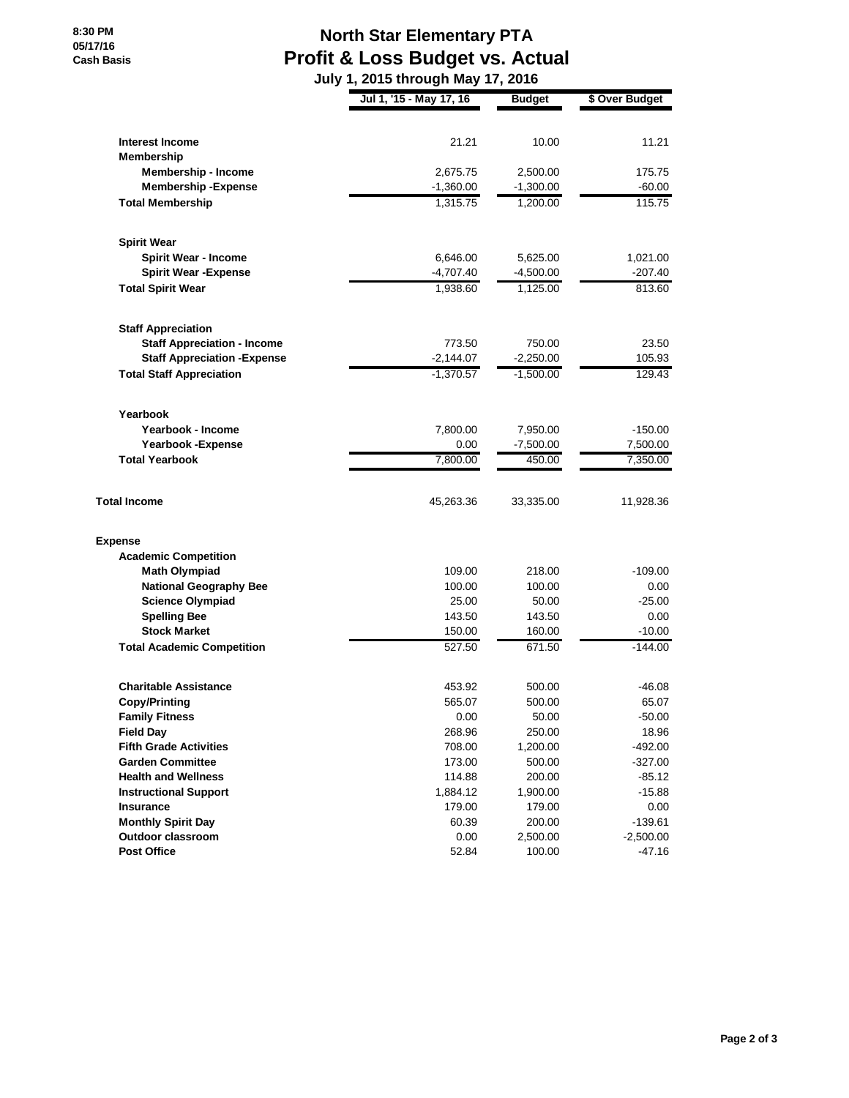## **North Star Elementary PTA Profit & Loss Budget vs. Actual**

|                                     | July 1, 2015 through May 17, 2016 |               |                |
|-------------------------------------|-----------------------------------|---------------|----------------|
|                                     | Jul 1, '15 - May 17, 16           | <b>Budget</b> | \$ Over Budget |
| Interest Income                     | 21.21                             | 10.00         | 11.21          |
| Membership                          |                                   |               |                |
| <b>Membership - Income</b>          | 2,675.75                          | 2,500.00      | 175.75         |
| <b>Membership - Expense</b>         | $-1,360.00$                       | $-1,300.00$   | $-60.00$       |
| <b>Total Membership</b>             | 1,315.75                          | 1,200.00      | 115.75         |
| <b>Spirit Wear</b>                  |                                   |               |                |
| Spirit Wear - Income                | 6,646.00                          | 5,625.00      | 1,021.00       |
| <b>Spirit Wear - Expense</b>        | $-4,707.40$                       | $-4,500.00$   | $-207.40$      |
| <b>Total Spirit Wear</b>            | 1,938.60                          | 1,125.00      | 813.60         |
| <b>Staff Appreciation</b>           |                                   |               |                |
| <b>Staff Appreciation - Income</b>  | 773.50                            | 750.00        | 23.50          |
| <b>Staff Appreciation - Expense</b> | $-2,144.07$                       | $-2,250.00$   | 105.93         |
| <b>Total Staff Appreciation</b>     | $-1,370.57$                       | $-1,500.00$   | 129.43         |
| Yearbook                            |                                   |               |                |
| Yearbook - Income                   | 7,800.00                          | 7,950.00      | $-150.00$      |
| <b>Yearbook - Expense</b>           | 0.00                              | $-7,500.00$   | 7,500.00       |
| <b>Total Yearbook</b>               | 7,800.00                          | 450.00        | 7,350.00       |
| <b>Total Income</b>                 | 45,263.36                         | 33,335.00     | 11,928.36      |
| <b>Expense</b>                      |                                   |               |                |
| <b>Academic Competition</b>         |                                   |               |                |
| <b>Math Olympiad</b>                | 109.00                            | 218.00        | $-109.00$      |
| <b>National Geography Bee</b>       | 100.00                            | 100.00        | 0.00           |
| <b>Science Olympiad</b>             | 25.00                             | 50.00         | $-25.00$       |
| <b>Spelling Bee</b>                 | 143.50                            | 143.50        | 0.00           |
| <b>Stock Market</b>                 | 150.00                            | 160.00        | $-10.00$       |
| <b>Total Academic Competition</b>   | 527.50                            | 671.50        | $-144.00$      |
| <b>Charitable Assistance</b>        | 453.92                            | 500.00        | $-46.08$       |
| <b>Copy/Printing</b>                | 565.07                            | 500.00        | 65.07          |
| <b>Family Fitness</b>               | 0.00                              | 50.00         | $-50.00$       |
| <b>Field Day</b>                    | 268.96                            | 250.00        | 18.96          |
| <b>Fifth Grade Activities</b>       | 708.00                            | 1,200.00      | $-492.00$      |
| <b>Garden Committee</b>             | 173.00                            | 500.00        | $-327.00$      |
| <b>Health and Wellness</b>          | 114.88                            | 200.00        | $-85.12$       |
| <b>Instructional Support</b>        | 1,884.12                          | 1,900.00      | $-15.88$       |
| Insurance                           | 179.00                            | 179.00        | 0.00           |
| <b>Monthly Spirit Day</b>           | 60.39                             | 200.00        | $-139.61$      |
| Outdoor classroom                   | 0.00                              | 2,500.00      | $-2,500.00$    |
| <b>Post Office</b>                  | 52.84                             | 100.00        | $-47.16$       |